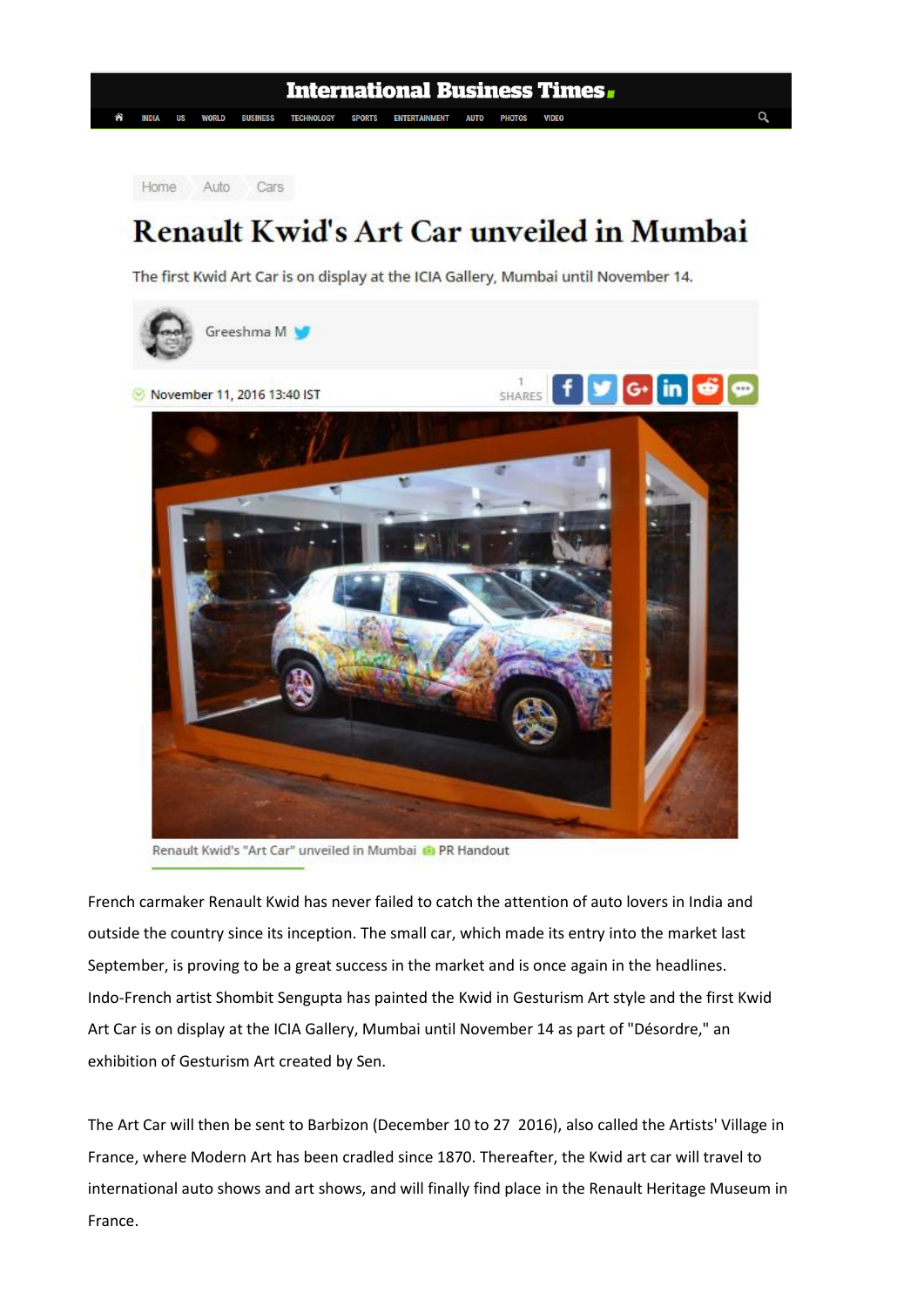Auto Cars Home

## **Renault Kwid's Art Car unveiled in Mumbai**

The first Kwid Art Car is on display at the ICIA Gallery, Mumbai until November 14.



Renault Kwid's "Art Car" unveiled in Mumbai ( PR Handout

French carmaker Renault Kwid has never failed to catch the attention of auto lovers in India and outside the country since its inception. The small car, which made its entry into the market last September, is proving to be a great success in the market and is once again in the headlines. Indo-French artist Shombit Sengupta has painted the Kwid in Gesturism Art style and the first Kwid Art Car is on display at the ICIA Gallery, Mumbai until November 14 as part of "Désordre," an exhibition of Gesturism Art created by Sen.

The Art Car will then be sent to Barbizon (December 10 to 27 2016), also called the Artists' Village in France, where Modern Art has been cradled since 1870. Thereafter, the Kwid art car will travel to international auto shows and art shows, and will finally find place in the Renault Heritage Museum in France.